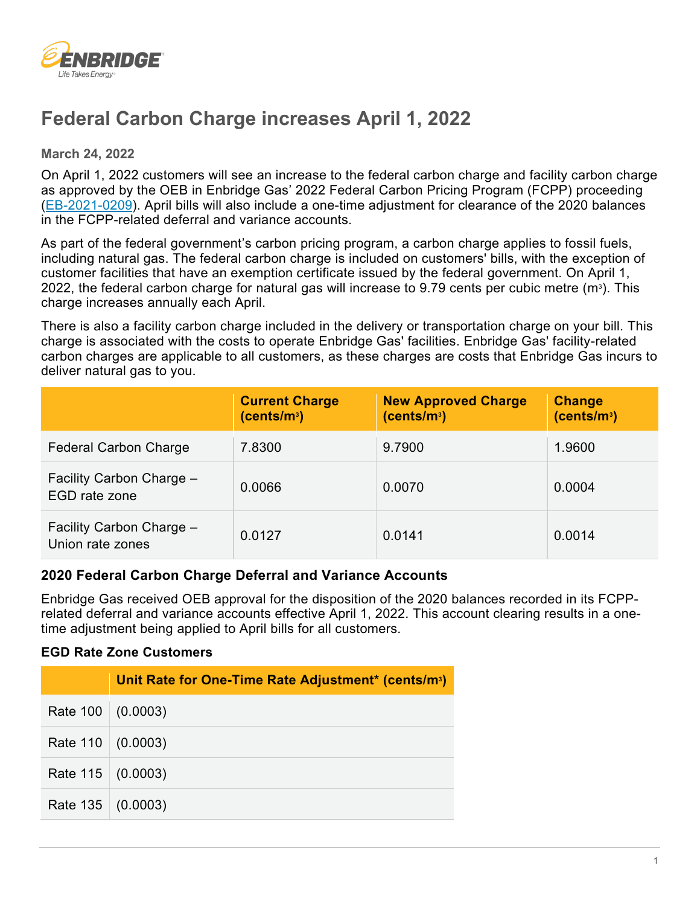

# **Federal Carbon Charge increases April 1, 2022**

**March 24, 2022** 

On April 1, 2022 customers will see an increase to the federal carbon charge and facility carbon charge as approved by the OEB in Enbridge Gas' 2022 Federal Carbon Pricing Program (FCPP) proceeding [\(EB-2021-0209\)](https://www.enbridgegas.com/about-enbridge-gas/regulatory). April bills will also include a one-time adjustment for clearance of the 2020 balances in the FCPP-related deferral and variance accounts.

As part of the federal government's carbon pricing program, a carbon charge applies to fossil fuels, including natural gas. The federal carbon charge is included on customers' bills, with the exception of customer facilities that have an exemption certificate issued by the federal government. On April 1, 2022, the federal carbon charge for natural gas will increase to 9.79 cents per cubic metre  $(m<sup>3</sup>)$ . This charge increases annually each April.

There is also a facility carbon charge included in the delivery or transportation charge on your bill. This charge is associated with the costs to operate Enbridge Gas' facilities. Enbridge Gas' facility-related carbon charges are applicable to all customers, as these charges are costs that Enbridge Gas incurs to deliver natural gas to you.

|                                              | <b>Current Charge</b><br>(cents/m <sup>3</sup> ) | <b>New Approved Charge</b><br>(cents/m <sup>3</sup> ) | <b>Change</b><br>(cents/m <sup>3</sup> ) |
|----------------------------------------------|--------------------------------------------------|-------------------------------------------------------|------------------------------------------|
| <b>Federal Carbon Charge</b>                 | 7.8300                                           | 9.7900                                                | 1.9600                                   |
| Facility Carbon Charge -<br>EGD rate zone    | 0.0066                                           | 0.0070                                                | 0.0004                                   |
| Facility Carbon Charge -<br>Union rate zones | 0.0127                                           | 0.0141                                                | 0.0014                                   |

## **2020 Federal Carbon Charge Deferral and Variance Accounts**

Enbridge Gas received OEB approval for the disposition of the 2020 balances recorded in its FCPPrelated deferral and variance accounts effective April 1, 2022. This account clearing results in a onetime adjustment being applied to April bills for all customers.

#### **EGD Rate Zone Customers**

|                          | Unit Rate for One-Time Rate Adjustment* (cents/m <sup>3</sup> ) |
|--------------------------|-----------------------------------------------------------------|
| Rate $100 \mid (0.0003)$ |                                                                 |
| Rate $110 \mid (0.0003)$ |                                                                 |
| Rate $115 \mid (0.0003)$ |                                                                 |
| Rate $135 \mid (0.0003)$ |                                                                 |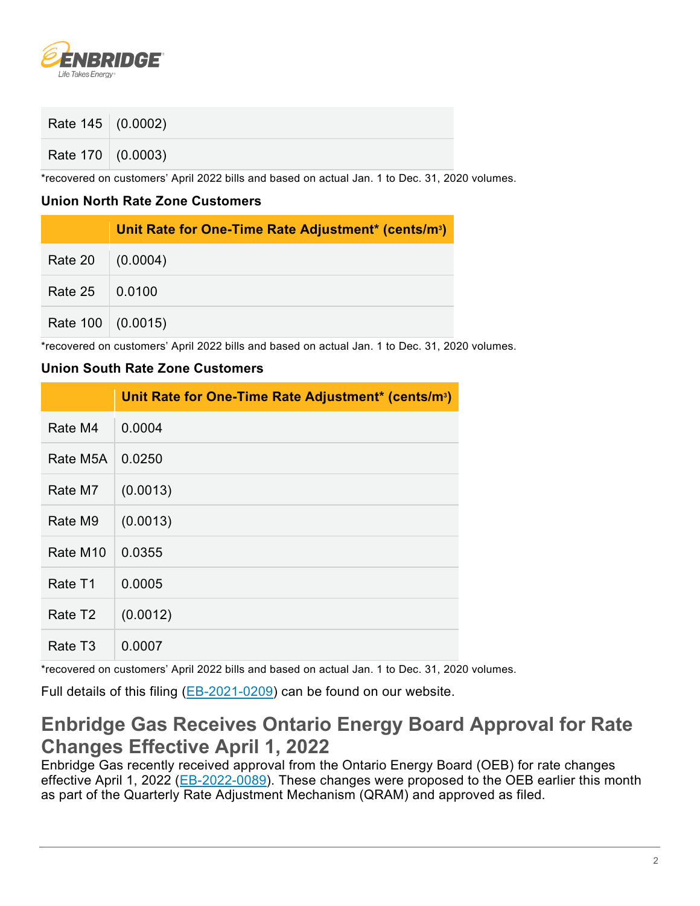

| Rate $145$ (0.0002)      |  |
|--------------------------|--|
| Rate $170 \mid (0.0003)$ |  |

\*recovered on customers' April 2022 bills and based on actual Jan. 1 to Dec. 31, 2020 volumes.

## **Union North Rate Zone Customers**

|                              | Unit Rate for One-Time Rate Adjustment* (cents/m <sup>3</sup> ) |
|------------------------------|-----------------------------------------------------------------|
| Rate 20 (0.0004)             |                                                                 |
| Rate $25 \, \vert \, 0.0100$ |                                                                 |
| Rate $100 \mid (0.0015)$     |                                                                 |

\*recovered on customers' April 2022 bills and based on actual Jan. 1 to Dec. 31, 2020 volumes.

## **Union South Rate Zone Customers**

|                      | Unit Rate for One-Time Rate Adjustment* (cents/m <sup>3</sup> ) |
|----------------------|-----------------------------------------------------------------|
| Rate M4              | 0.0004                                                          |
| Rate M5A             | 0.0250                                                          |
| Rate M7              | (0.0013)                                                        |
| Rate M9              | (0.0013)                                                        |
| Rate M <sub>10</sub> | 0.0355                                                          |
| Rate T1              | 0.0005                                                          |
| Rate T <sub>2</sub>  | (0.0012)                                                        |
| Rate T3              | 0.0007                                                          |

\*recovered on customers' April 2022 bills and based on actual Jan. 1 to Dec. 31, 2020 volumes.

Full details of this filing [\(EB-2021-0209\)](https://www.enbridgegas.com/about-enbridge-gas/regulatory) can be found on our website.

## **Enbridge Gas Receives Ontario Energy Board Approval for Rate Changes Effective April 1, 2022**

Enbridge Gas recently received approval from the Ontario Energy Board (OEB) for rate changes effective April 1, 2022 [\(EB-2022-0089\)](https://www.enbridgegas.com/about-enbridge-gas/regulatory). These changes were proposed to the OEB earlier this month as part of the Quarterly Rate Adjustment Mechanism (QRAM) and approved as filed.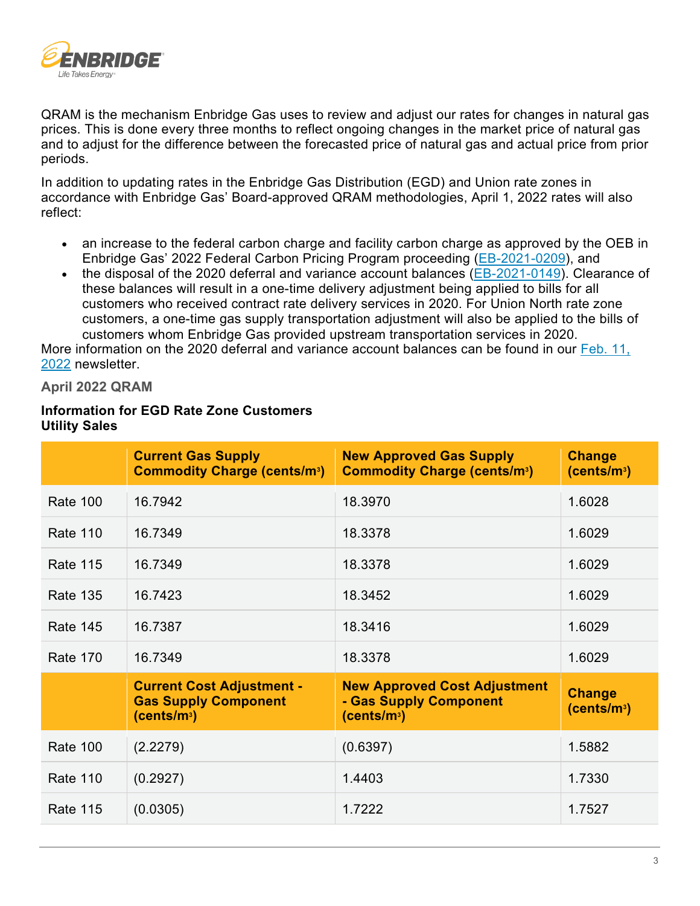

QRAM is the mechanism Enbridge Gas uses to review and adjust our rates for changes in natural gas prices. This is done every three months to reflect ongoing changes in the market price of natural gas and to adjust for the difference between the forecasted price of natural gas and actual price from prior periods.

In addition to updating rates in the Enbridge Gas Distribution (EGD) and Union rate zones in accordance with Enbridge Gas' Board-approved QRAM methodologies, April 1, 2022 rates will also reflect:

- an increase to the federal carbon charge and facility carbon charge as approved by the OEB in Enbridge Gas' 2022 Federal Carbon Pricing Program proceeding [\(EB-2021-0209\)](https://www.enbridgegas.com/about-enbridge-gas/regulatory), and
- the disposal of the 2020 deferral and variance account balances [\(EB-2021-0149\)](https://www.enbridgegas.com/about-enbridge-gas/regulatory). Clearance of these balances will result in a one-time delivery adjustment being applied to bills for all customers who received contract rate delivery services in 2020. For Union North rate zone customers, a one-time gas supply transportation adjustment will also be applied to the bills of customers whom Enbridge Gas provided upstream transportation services in 2020.

More information on the 2020 deferral and variance account balances can be found in our Feb. 11, [2022](https://www.enbridgegas.com/business-industrial/newsletters/energy-marketers) newsletter.

### **April 2022 QRAM**

### **Information for EGD Rate Zone Customers Utility Sales**

|                 | <b>Current Gas Supply</b><br><b>Commodity Charge (cents/m3)</b>                            | <b>New Approved Gas Supply</b><br><b>Commodity Charge (cents/m<sup>3</sup>)</b>          | <b>Change</b><br>(cents/m <sup>3</sup> ) |
|-----------------|--------------------------------------------------------------------------------------------|------------------------------------------------------------------------------------------|------------------------------------------|
| <b>Rate 100</b> | 16.7942                                                                                    | 18.3970                                                                                  | 1.6028                                   |
| <b>Rate 110</b> | 16.7349                                                                                    | 18.3378                                                                                  | 1.6029                                   |
| <b>Rate 115</b> | 16.7349                                                                                    | 18.3378                                                                                  | 1.6029                                   |
| <b>Rate 135</b> | 16.7423                                                                                    | 18.3452                                                                                  | 1.6029                                   |
| <b>Rate 145</b> | 16.7387                                                                                    | 18.3416                                                                                  | 1.6029                                   |
| <b>Rate 170</b> | 16.7349                                                                                    | 18.3378                                                                                  | 1.6029                                   |
|                 | <b>Current Cost Adjustment -</b><br><b>Gas Supply Component</b><br>(cents/m <sup>3</sup> ) | <b>New Approved Cost Adjustment</b><br>- Gas Supply Component<br>(cents/m <sup>3</sup> ) | <b>Change</b><br>(cents/m <sup>3</sup> ) |
| <b>Rate 100</b> | (2.2279)                                                                                   | (0.6397)                                                                                 | 1.5882                                   |
| <b>Rate 110</b> | (0.2927)                                                                                   | 1.4403                                                                                   | 1.7330                                   |
| <b>Rate 115</b> | (0.0305)                                                                                   | 1.7222                                                                                   | 1.7527                                   |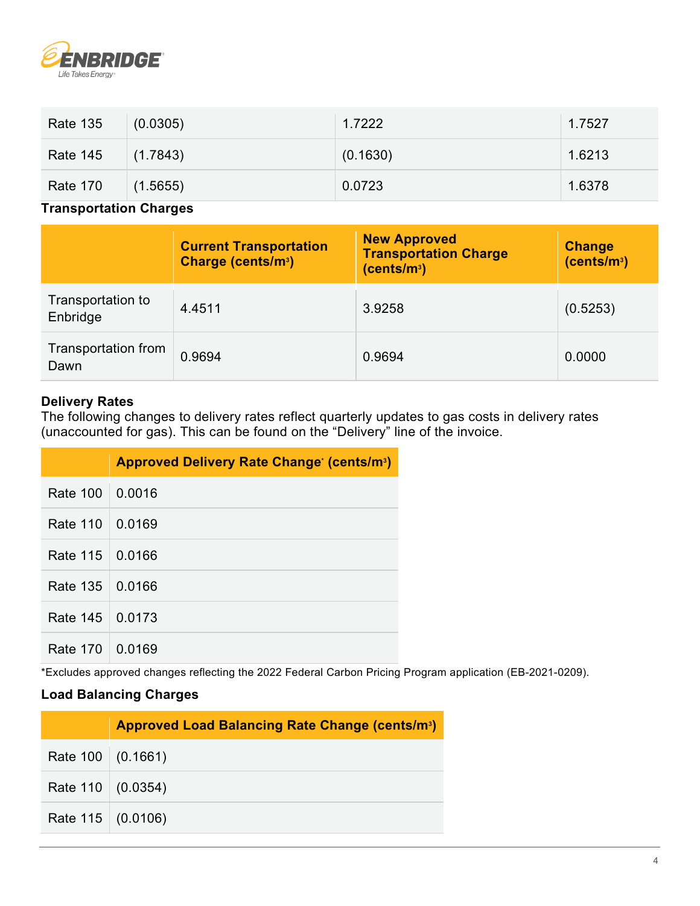

| <b>Rate 135</b> | (0.0305) | 1.7222   | 1.7527 |
|-----------------|----------|----------|--------|
| <b>Rate 145</b> | (1.7843) | (0.1630) | 1.6213 |
| <b>Rate 170</b> | (1.5655) | 0.0723   | 1.6378 |

## **Transportation Charges**

|                               | <b>Current Transportation</b><br>Charge (cents/m <sup>3</sup> ) | <b>New Approved</b><br><b>Transportation Charge</b><br>(cents/m <sup>3</sup> ) | <b>Change</b><br>(cents/m <sup>3</sup> ) |
|-------------------------------|-----------------------------------------------------------------|--------------------------------------------------------------------------------|------------------------------------------|
| Transportation to<br>Enbridge | 4.4511                                                          | 3.9258                                                                         | (0.5253)                                 |
| Transportation from<br>Dawn   | 0.9694                                                          | 0.9694                                                                         | 0.0000                                   |

## **Delivery Rates**

The following changes to delivery rates reflect quarterly updates to gas costs in delivery rates (unaccounted for gas). This can be found on the "Delivery" line of the invoice.

|                   | <b>Approved Delivery Rate Change (cents/m<sup>3</sup>)</b> |
|-------------------|------------------------------------------------------------|
| <b>Rate 100</b>   | 0.0016                                                     |
| Rate 110          | 0.0169                                                     |
| Rate 115   0.0166 |                                                            |
| Rate 135   0.0166 |                                                            |
| Rate 145   0.0173 |                                                            |
| <b>Rate 170</b>   | 0.0169                                                     |

\*Excludes approved changes reflecting the 2022 Federal Carbon Pricing Program application (EB-2021-0209).

## **Load Balancing Charges**

|                          | <b>Approved Load Balancing Rate Change (cents/m<sup>3</sup>)</b> |
|--------------------------|------------------------------------------------------------------|
| Rate 100 (0.1661)        |                                                                  |
| Rate $110   (0.0354)$    |                                                                  |
| Rate $115 \mid (0.0106)$ |                                                                  |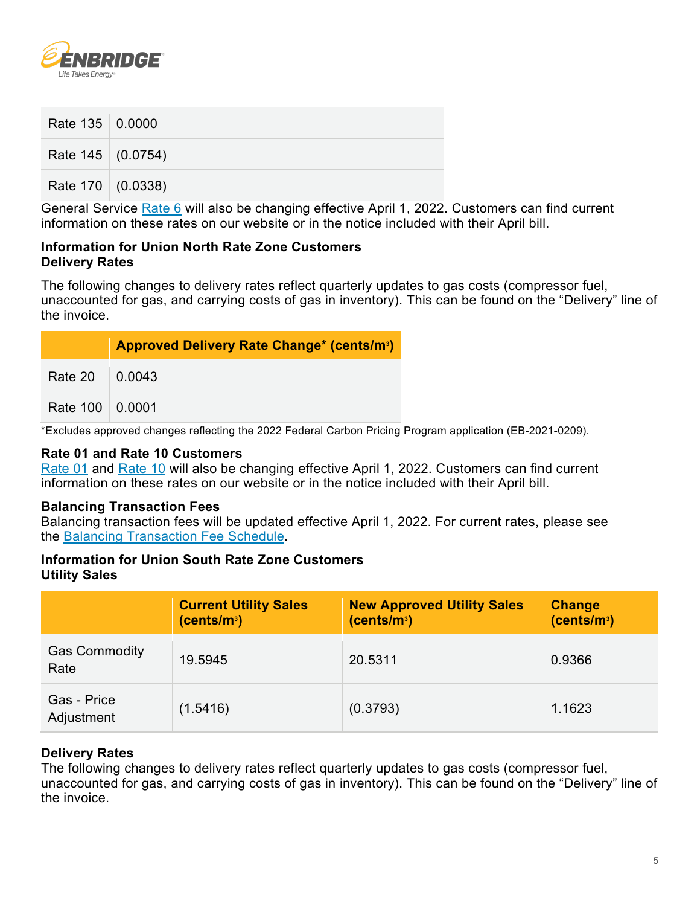

| Rate 135 0.0000   |  |
|-------------------|--|
| Rate 145 (0.0754) |  |
| Rate 170 (0.0338) |  |

General Service [Rate 6](https://www.enbridgegas.com/business-industrial/business/rates) will also be changing effective April 1, 2022. Customers can find current information on these rates on our website or in the notice included with their April bill.

#### **Information for Union North Rate Zone Customers Delivery Rates**

The following changes to delivery rates reflect quarterly updates to gas costs (compressor fuel, unaccounted for gas, and carrying costs of gas in inventory). This can be found on the "Delivery" line of the invoice.

|                        | <b>Approved Delivery Rate Change* (cents/m3)</b> |
|------------------------|--------------------------------------------------|
| Rate 20 $\big $ 0.0043 |                                                  |
| Rate 100 0.0001        |                                                  |

\*Excludes approved changes reflecting the 2022 Federal Carbon Pricing Program application (EB-2021-0209).

#### **Rate 01 and Rate 10 Customers**

[Rate 01](https://www.enbridgegas.com/residential/my-account/rates) and [Rate 10](https://www.enbridgegas.com/business-industrial/business/rates) will also be changing effective April 1, 2022. Customers can find current information on these rates on our website or in the notice included with their April bill.

#### **Balancing Transaction Fees**

Balancing transaction fees will be updated effective April 1, 2022. For current rates, please see the [Balancing Transaction Fee Schedule.](https://www.enbridgegas.com/-/media/Extranet-Pages/Business-and-industrial/Commercial-and-Industrial/Large-Volume-Rates-and-Services/Balancing-services/FeeSchedule.ashx?rev=cdd5a7b8f17b48e6a4e9b11685670084&hash=9E501A39377619CA651AB795B0A18F8E)

#### **Information for Union South Rate Zone Customers Utility Sales**

|                              | <b>Current Utility Sales</b><br>(cents/m <sup>3</sup> ) | <b>New Approved Utility Sales</b><br>(cents/m <sup>3</sup> ) | <b>Change</b><br>(cents/m <sup>3</sup> ) |
|------------------------------|---------------------------------------------------------|--------------------------------------------------------------|------------------------------------------|
| <b>Gas Commodity</b><br>Rate | 19.5945                                                 | 20.5311                                                      | 0.9366                                   |
| Gas - Price<br>Adjustment    | (1.5416)                                                | (0.3793)                                                     | 1.1623                                   |

## **Delivery Rates**

The following changes to delivery rates reflect quarterly updates to gas costs (compressor fuel, unaccounted for gas, and carrying costs of gas in inventory). This can be found on the "Delivery" line of the invoice.